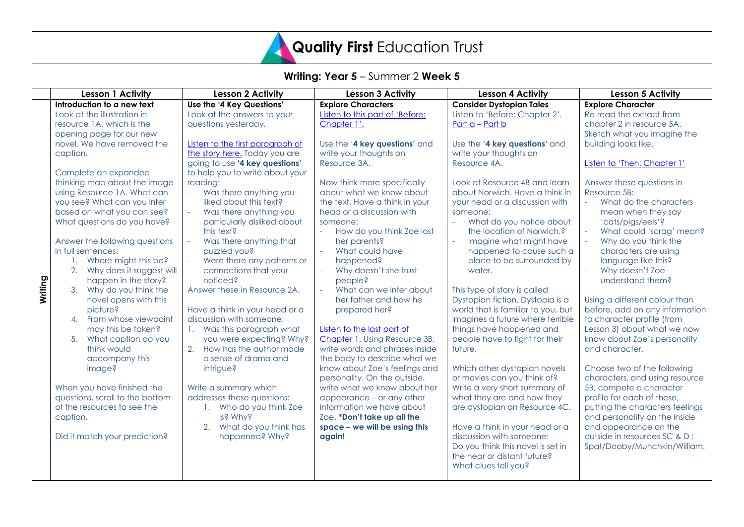# Quality First Education Trust

### **Writing: Year 5** – Summer 2 **Week 5**

|         | Lesson 1 Activity                                    | <b>Lesson 2 Activity</b>                | <b>Lesson 3 Activity</b>              | <b>Lesson 4 Activity</b>                            | <b>Lesson 5 Activity</b>                     |
|---------|------------------------------------------------------|-----------------------------------------|---------------------------------------|-----------------------------------------------------|----------------------------------------------|
|         | Introduction to a new text                           | Use the '4 Key Questions'               | <b>Explore Characters</b>             | <b>Consider Dystopian Tales</b>                     | <b>Explore Character</b>                     |
|         | Look at the illustration in                          | Look at the answers to your             | Listen to this part of 'Before:       | Listen to 'Before: Chapter 2'.                      | Re-read the extract from                     |
|         | resource 1A, which is the                            | questions yesterday.                    | Chapter 1'.                           | $Part a - Part b$                                   | chapter 2 in resource 5A.                    |
|         | opening page for our new                             |                                         |                                       |                                                     | Sketch what you imagine the                  |
|         | novel. We have removed the                           | Listen to the first paragraph of        | Use the '4 key questions' and         | Use the '4 key questions' and                       | building looks like.                         |
|         | caption.                                             | the story here. Today you are           | write your thoughts on                | write your thoughts on                              |                                              |
|         |                                                      | going to use '4 key questions'          | Resource 3A.                          | Resource 4A.                                        | Listen to 'Then: Chapter 1'                  |
|         | Complete an expanded                                 | to help you to write about your         |                                       |                                                     |                                              |
|         | thinking map about the image                         | reading:                                | Now think more specifically           | Look at Resource 4B and learn                       | Answer these questions in                    |
|         | using Resource 1A. What can                          | Was there anything you                  | about what we know about              | about Norwich. Have a think in                      | Resource 5B:                                 |
|         | you see? What can you infer                          | liked about this text?                  | the text. Have a think in your        | your head or a discussion with                      | What do the characters                       |
|         | based on what you can see?                           | l,<br>Was there anything you            | head or a discussion with             | someone:                                            | mean when they say                           |
|         | What questions do you have?                          | particularly disliked about             | someone:                              | What do you notice about                            | 'cats/pigs/eels'?                            |
|         |                                                      | this text?                              | How do you think Zoe lost<br>$\omega$ | the location of Norwich.?                           | What could 'scrag' mean?                     |
|         | Answer the following questions<br>in full sentences: | Was there anything that<br>puzzled you? | her parents?<br>What could have       | Imagine what might have<br>happened to cause such a | Why do you think the<br>characters are using |
|         | 1. Where might this be?                              | Were there any patterns or              | happened?                             | place to be surrounded by                           | language like this?                          |
|         | 2.<br>Why does it suggest will                       | connections that your                   | Why doesn't she trust                 | water.                                              | Why doesn't Zoe                              |
|         | happen in the story?                                 | noticed?                                | people?                               |                                                     | understand them?                             |
|         | 3.<br>Why do you think the                           | Answer these in Resource 2A.            | What can we infer about<br>÷,         | This type of story is called                        |                                              |
| Writing | novel opens with this                                |                                         | her father and how he                 | Dystopian fiction. Dystopia is a                    | Using a different colour than                |
|         | picture?                                             | Have a think in your head or a          | prepared her?                         | world that is familiar to you, but                  | before, add on any information               |
|         | 4. From whose viewpoint                              | discussion with someone:                |                                       | imagines a future where terrible                    | to character profile (from                   |
|         | may this be taken?                                   | 1. Was this paragraph what              | Listen to the last part of            | things have happened and                            | Lesson 3) about what we now                  |
|         | 5. What caption do you                               | you were expecting? Why?                | Chapter 1. Using Resource 3B,         | people have to fight for their                      | know about Zoe's personality                 |
|         | think would                                          | 2. How has the author made              | write words and phrases inside        | future.                                             | and character.                               |
|         | accompany this                                       | a sense of drama and                    | the body to describe what we          |                                                     |                                              |
|         | image?                                               | intrigue?                               | know about Zoe's feelings and         | Which other dystopian novels                        | Choose two of the following                  |
|         |                                                      |                                         | personality. On the outside,          | or movies can you think of?                         | characters, and using resource               |
|         | When you have finished the                           | Write a summary which                   | write what we know about her          | Write a very short summary of                       | 5B, compete a character                      |
|         | questions, scroll to the bottom                      | addresses these questions:              | appearance - or any other             | what they are and how they                          | profile for each of these,                   |
|         | of the resources to see the                          | 1. Who do you think Zoe                 | information we have about             | are dystopian on Resource 4C.                       | putting the characters feelings              |
|         | caption.                                             | is's Mhy?                               | Zoe. *Don't take up all the           |                                                     | and personality on the inside                |
|         |                                                      | 2. What do you think has                | space - we will be using this         | Have a think in your head or a                      | and appearance on the                        |
|         | Did it match your prediction?                        | happened? Why?                          | again!                                | discussion with someone:                            | outside in resources 5C & D :                |
|         |                                                      |                                         |                                       | Do you think this novel is set in                   | Spat/Dooby/Munchkin/William.                 |
|         |                                                      |                                         |                                       | the near or distant future?                         |                                              |
|         |                                                      |                                         |                                       | What clues tell you?                                |                                              |
|         |                                                      |                                         |                                       |                                                     |                                              |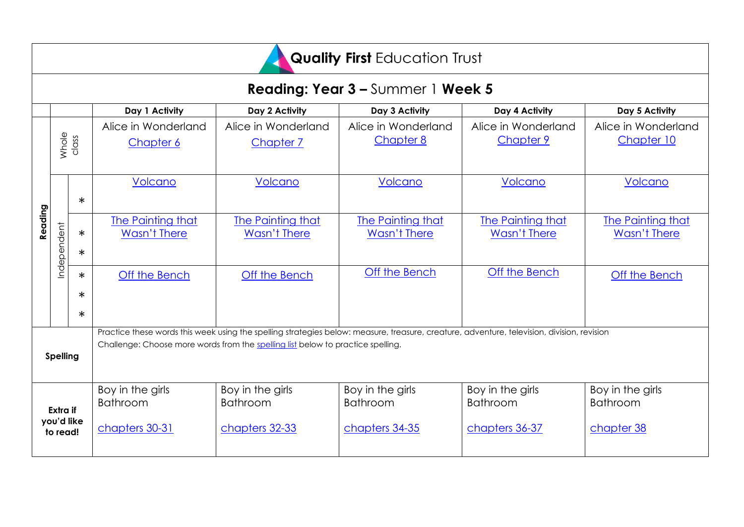## **Quality First** Education Trust

## **Reading: Year 3 –** Summer 1 **Week 5**

|                                    |                |                            | Day 1 Activity                                                                                                                                                                                                                | Day 2 Activity                                        | Day 3 Activity                                        | Day 4 Activity                                        | Day 5 Activity                                    |
|------------------------------------|----------------|----------------------------|-------------------------------------------------------------------------------------------------------------------------------------------------------------------------------------------------------------------------------|-------------------------------------------------------|-------------------------------------------------------|-------------------------------------------------------|---------------------------------------------------|
|                                    | Whole<br>class |                            | Alice in Wonderland<br>Chapter 6                                                                                                                                                                                              | Alice in Wonderland<br>Chapter 7                      | Alice in Wonderland<br><b>Chapter 8</b>               | Alice in Wonderland<br>Chapter 9                      | Alice in Wonderland<br>Chapter 10                 |
| Reading                            | endent<br>Ŏ    | $\ast$                     | Volcano                                                                                                                                                                                                                       | Volcano                                               | Volcano                                               | Volcano                                               | Volcano                                           |
|                                    |                | $\ast$<br>$\ast$           | <b>The Painting that</b><br>Wasn't There                                                                                                                                                                                      | <b>The Painting that</b><br>Wasn't There              | <b>The Painting that</b><br>Wasn't There              | <b>The Painting that</b><br><b>Wasn't There</b>       | <b>The Painting that</b><br><b>Wasn't There</b>   |
|                                    | Inde           | $\ast$<br>$\ast$<br>$\ast$ | Off the Bench                                                                                                                                                                                                                 | Off the Bench                                         | Off the Bench                                         | Off the Bench                                         | Off the Bench                                     |
| <b>Spelling</b>                    |                |                            | Practice these words this week using the spelling strategies below: measure, treasure, creature, adventure, television, division, revision<br>Challenge: Choose more words from the spelling list below to practice spelling. |                                                       |                                                       |                                                       |                                                   |
| Extra if<br>you'd like<br>to read! |                |                            | Boy in the girls<br><b>Bathroom</b><br>chapters 30-31                                                                                                                                                                         | Boy in the girls<br><b>Bathroom</b><br>chapters 32-33 | Boy in the girls<br><b>Bathroom</b><br>chapters 34-35 | Boy in the girls<br><b>Bathroom</b><br>chapters 36-37 | Boy in the girls<br><b>Bathroom</b><br>chapter 38 |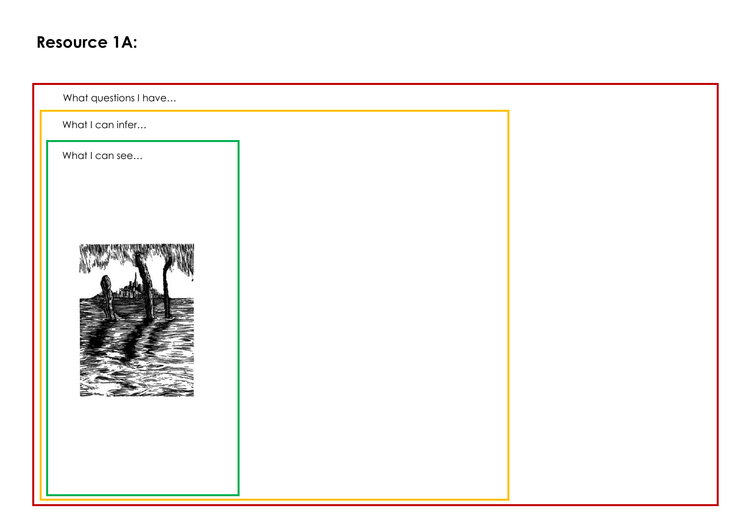## **Resource 1A:**

| What questions I have |  |  |
|-----------------------|--|--|
| What I can infer      |  |  |
| What I can see        |  |  |
|                       |  |  |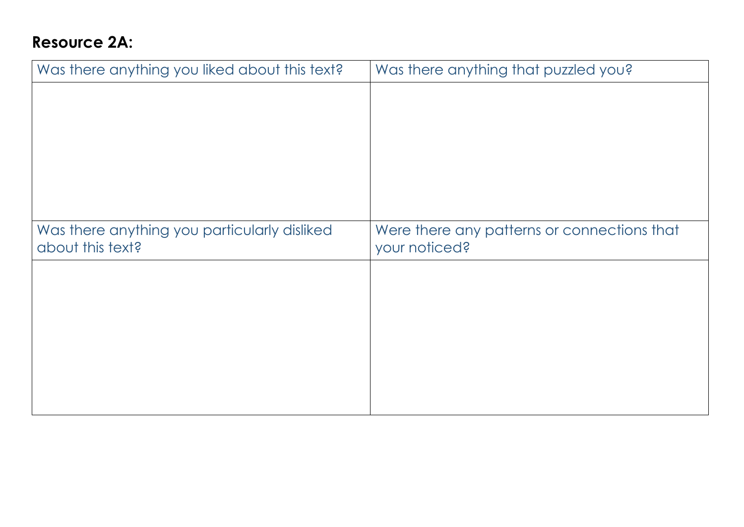## **Resource 2A:**

| Was there anything you liked about this text?                    | Was there anything that puzzled you?                         |
|------------------------------------------------------------------|--------------------------------------------------------------|
|                                                                  |                                                              |
|                                                                  |                                                              |
|                                                                  |                                                              |
|                                                                  |                                                              |
|                                                                  |                                                              |
|                                                                  |                                                              |
|                                                                  |                                                              |
| Was there anything you particularly disliked<br>about this text? | Were there any patterns or connections that<br>your noticed? |
|                                                                  |                                                              |
|                                                                  |                                                              |
|                                                                  |                                                              |
|                                                                  |                                                              |
|                                                                  |                                                              |
|                                                                  |                                                              |
|                                                                  |                                                              |
|                                                                  |                                                              |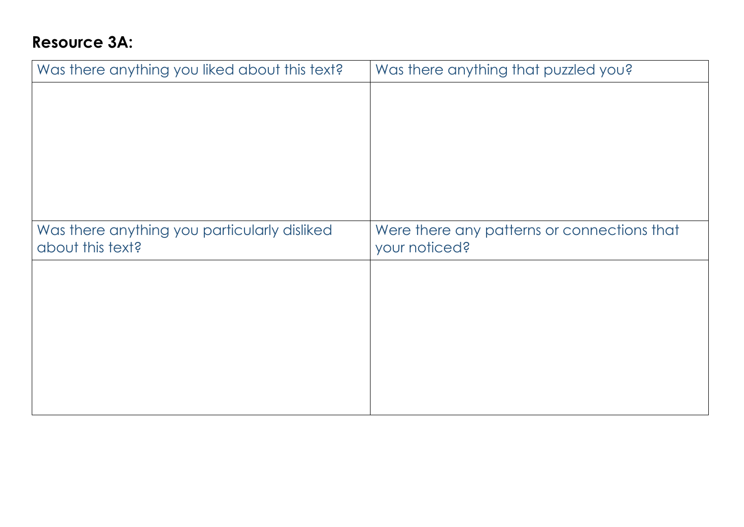## **Resource 3A:**

| Was there anything you liked about this text?                    | Was there anything that puzzled you?                         |
|------------------------------------------------------------------|--------------------------------------------------------------|
|                                                                  |                                                              |
|                                                                  |                                                              |
|                                                                  |                                                              |
|                                                                  |                                                              |
|                                                                  |                                                              |
|                                                                  |                                                              |
|                                                                  |                                                              |
| Was there anything you particularly disliked<br>about this text? | Were there any patterns or connections that<br>your noticed? |
|                                                                  |                                                              |
|                                                                  |                                                              |
|                                                                  |                                                              |
|                                                                  |                                                              |
|                                                                  |                                                              |
|                                                                  |                                                              |
|                                                                  |                                                              |
|                                                                  |                                                              |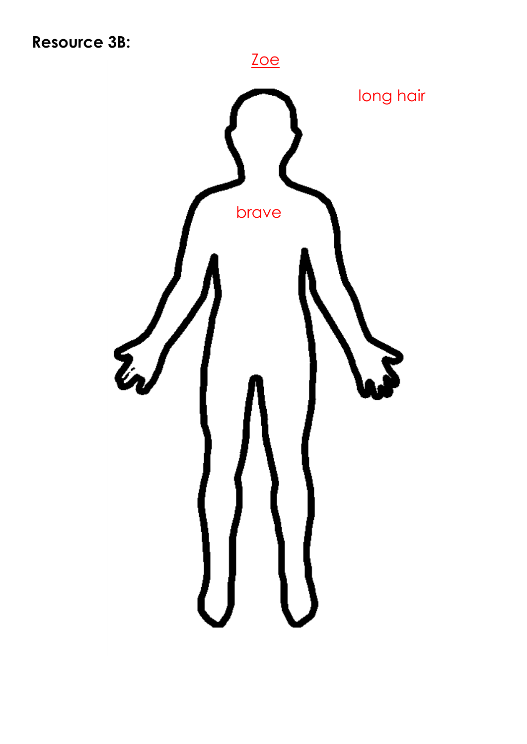## **Resource 3B:**

Zoe

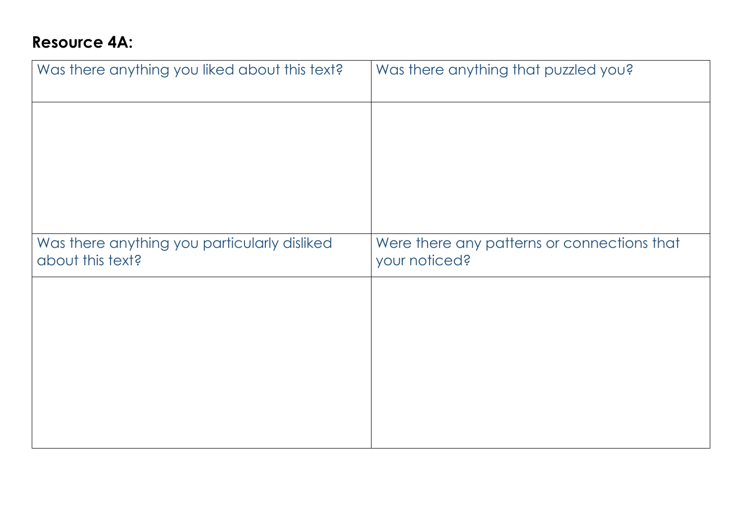## **Resource 4A:**

| Was there anything you liked about this text?                    | Was there anything that puzzled you?                         |
|------------------------------------------------------------------|--------------------------------------------------------------|
|                                                                  |                                                              |
|                                                                  |                                                              |
|                                                                  |                                                              |
| Was there anything you particularly disliked<br>about this text? | Were there any patterns or connections that<br>your noticed? |
|                                                                  |                                                              |
|                                                                  |                                                              |
|                                                                  |                                                              |
|                                                                  |                                                              |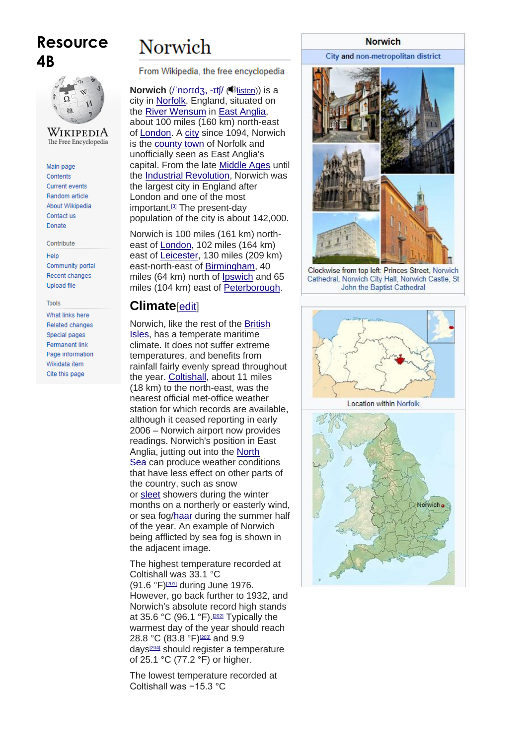## **Resource 4B**



WikipediA The Free Encyclopedia

### Main page

Contents **Current events** Random article About Wikipedia Contact us Donate

#### Contribute

Help Community portal Recent changes **Upload file** 

#### Tools

What links here **Related changes** Special pages **Permanent link** Page information Wikidata item Cite this page

# Norwich

From Wikipedia, the free encyclopedia

**Norwich** (*['nprtdz, -tt[/ (* [listen\)](https://upload.wikimedia.org/wikipedia/commons/8/8a/En-uk-Norwich.ogg)) is a city in [Norfolk,](https://en.wikipedia.org/wiki/Norfolk) England, situated on the [River Wensum](https://en.wikipedia.org/wiki/River_Wensum) in [East Anglia,](https://en.wikipedia.org/wiki/East_Anglia) about 100 miles (160 km) north-east of [London.](https://en.wikipedia.org/wiki/London) A [city](https://en.wikipedia.org/wiki/City_status_in_the_United_Kingdom) since 1094, Norwich is the [county town](https://en.wikipedia.org/wiki/County_town) of Norfolk and unofficially seen as East Anglia's capital. From the late [Middle Ages](https://en.wikipedia.org/wiki/Middle_Ages) until the [Industrial Revolution,](https://en.wikipedia.org/wiki/Industrial_Revolution) Norwich was the largest city in England after London and one of the most important.<sup>[\[3\]](https://en.wikipedia.org/wiki/Norwich#cite_note-FOOTNOTEWilliamsJonesLeeGriffiths200611-3)</sup> The present-day population of the city is about 142,000.

Norwich is 100 miles (161 km) northeast of [London,](https://en.wikipedia.org/wiki/London) 102 miles (164 km) east of [Leicester,](https://en.wikipedia.org/wiki/Leicester) 130 miles (209 km) east-north-east of [Birmingham,](https://en.wikipedia.org/wiki/Birmingham) 40 miles (64 km) north of [Ipswich](https://en.wikipedia.org/wiki/Ipswich) and 65 miles (104 km) east of [Peterborough.](https://en.wikipedia.org/wiki/Peterborough)

### **Climate**[\[edit\]](https://en.wikipedia.org/w/index.php?title=Norwich&action=edit§ion=46)

Norwich, like the rest of the [British](https://en.wikipedia.org/wiki/British_Isles)  [Isles,](https://en.wikipedia.org/wiki/British_Isles) has a temperate maritime climate. It does not suffer extreme temperatures, and benefits from rainfall fairly evenly spread throughout the year. [Coltishall,](https://en.wikipedia.org/wiki/Coltishall) about 11 miles (18 km) to the north-east, was the nearest official met-office weather station for which records are available, although it ceased reporting in early 2006 – Norwich airport now provides readings. Norwich's position in East Anglia, jutting out into the [North](https://en.wikipedia.org/wiki/North_Sea)  [Sea](https://en.wikipedia.org/wiki/North_Sea) can produce weather conditions that have less effect on other parts of the country, such as snow or [sleet](https://en.wikipedia.org/wiki/Rain_and_snow_mixed) showers during the winter months on a northerly or easterly wind, or sea fog[/haar](https://en.wikipedia.org/wiki/Haar_(fog)) during the summer half of the year. An example of Norwich being afflicted by sea fog is shown in the adjacent image.

The highest temperature recorded at Coltishall was 33.1 °C (91.6 °F)[\[201\]](https://en.wikipedia.org/wiki/Norwich#cite_note-208) during June 1976. However, go back further to 1932, and Norwich's absolute record high stands at 35.6 °C (96.1 °F).<sup>[\[202\]](https://en.wikipedia.org/wiki/Norwich#cite_note-209)</sup> Typically the warmest day of the year should reach 28.8 °C (83.8 °F)<sup>[\[203\]](https://en.wikipedia.org/wiki/Norwich#cite_note-210)</sup> and 9.9 days<sup>[\[204\]](https://en.wikipedia.org/wiki/Norwich#cite_note-211)</sup> should register a temperature of 25.1 °C (77.2 °F) or higher.

The lowest temperature recorded at Coltishall was −15.3 °C

### **Norwich**

City and non-metropolitan district



Clockwise from top left: Princes Street, Norwich Cathedral, Norwich City Hall, Norwich Castle, St John the Baptist Cathedral



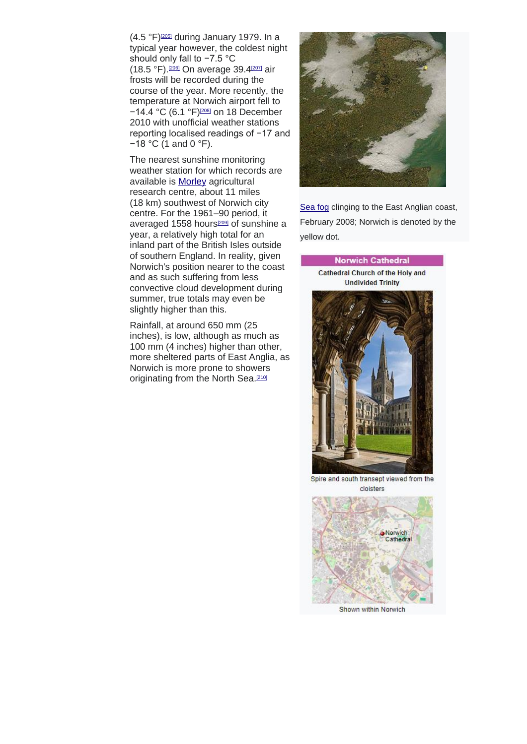$(4.5 \text{ °F})$ <sup>[\[205\]](https://en.wikipedia.org/wiki/Norwich#cite_note-212)</sup> during January 1979. In a typical year however, the coldest night should only fall to −7.5 °C (18.5 °F).[\[206\]](https://en.wikipedia.org/wiki/Norwich#cite_note-213) On average 39.4[\[207\]](https://en.wikipedia.org/wiki/Norwich#cite_note-214) air frosts will be recorded during the course of the year. More recently, the temperature at Norwich airport fell to −14.4 °C (6.1 °F)[\[208\]](https://en.wikipedia.org/wiki/Norwich#cite_note-215) on 18 December 2010 with unofficial weather stations reporting localised readings of −17 and −18 °C (1 and 0 °F).

The nearest sunshine monitoring weather station for which records are available is [Morley](https://en.wikipedia.org/wiki/Morley,_Norfolk) agricultural research centre, about 11 miles (18 km) southwest of Norwich city centre. For the 1961–90 period, it averaged 1558 hours<sup>[\[209\]](https://en.wikipedia.org/wiki/Norwich#cite_note-216)</sup> of sunshine a year, a relatively high total for an inland part of the British Isles outside of southern England. In reality, given Norwich's position nearer to the coast and as such suffering from less convective cloud development during summer, true totals may even be slightly higher than this.

Rainfall, at around 650 mm (25 inches), is low, although as much as 100 mm (4 inches) higher than other, more sheltered parts of East Anglia, as Norwich is more prone to showers originating from the North Sea.<sup>[\[210\]](https://en.wikipedia.org/wiki/Norwich#cite_note-217)</sup>



[Sea fog](https://en.wikipedia.org/wiki/Sea_fog) clinging to the East Anglian coast, February 2008; Norwich is denoted by the yellow dot.

### **Norwich Cathedral**

Cathedral Church of the Holy and **Undivided Trinity** 



Spire and south transept viewed from the cloisters



Shown within Norwich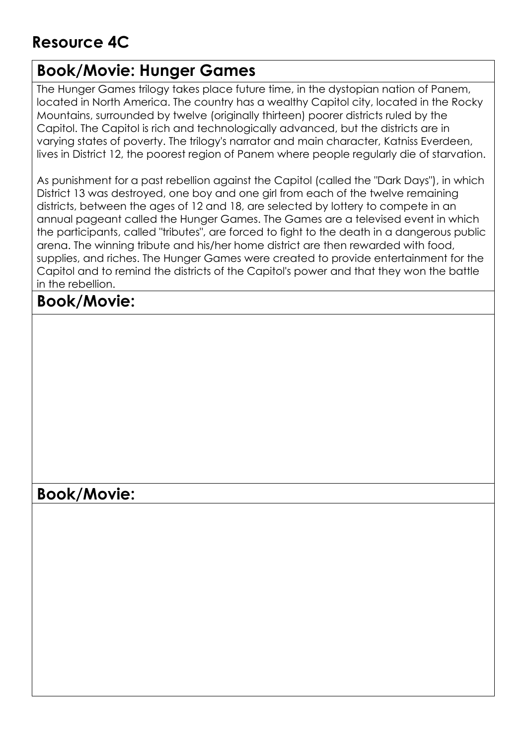## **Resource 4C**

## **Book/Movie: Hunger Games**

The Hunger Games trilogy takes place future time, in the dystopian nation of Panem, located in North America. The country has a wealthy Capitol city, located in the Rocky Mountains, surrounded by twelve (originally thirteen) poorer districts ruled by the Capitol. The Capitol is rich and technologically advanced, but the districts are in varying states of poverty. The trilogy's narrator and main character, Katniss Everdeen, lives in District 12, the poorest region of Panem where people regularly die of starvation.

As punishment for a past rebellion against the Capitol (called the "Dark Days"), in which District 13 was destroyed, one boy and one girl from each of the twelve remaining districts, between the ages of 12 and 18, are selected by lottery to compete in an annual pageant called the Hunger Games. The Games are a televised event in which the participants, called "tributes", are forced to fight to the death in a dangerous public arena. The winning tribute and his/her home district are then rewarded with food, supplies, and riches. The Hunger Games were created to provide entertainment for the Capitol and to remind the districts of the Capitol's power and that they won the battle in the rebellion.

## **Book/Movie:**

## **Book/Movie:**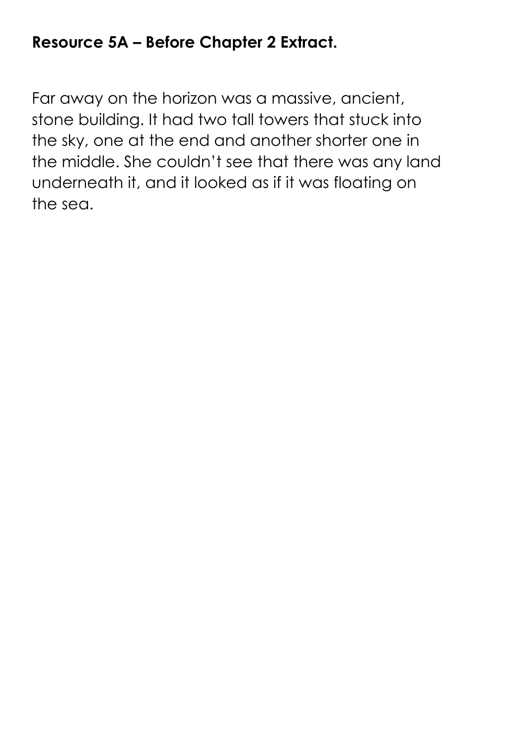## **Resource 5A – Before Chapter 2 Extract.**

Far away on the horizon was a massive, ancient, stone building. It had two tall towers that stuck into the sky, one at the end and another shorter one in the middle. She couldn't see that there was any land underneath it, and it looked as if it was floating on the sea.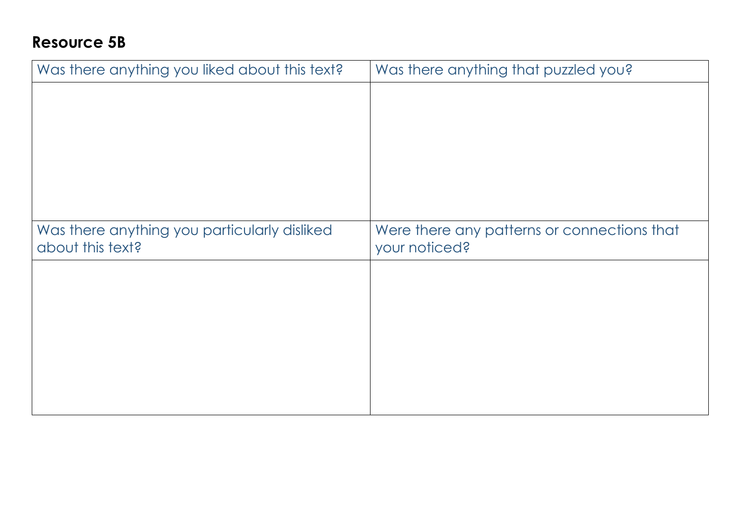## **Resource 5B**

| Was there anything you liked about this text?                    | Was there anything that puzzled you?                         |
|------------------------------------------------------------------|--------------------------------------------------------------|
|                                                                  |                                                              |
|                                                                  |                                                              |
|                                                                  |                                                              |
|                                                                  |                                                              |
|                                                                  |                                                              |
|                                                                  |                                                              |
|                                                                  |                                                              |
| Was there anything you particularly disliked<br>about this text? | Were there any patterns or connections that<br>your noticed? |
|                                                                  |                                                              |
|                                                                  |                                                              |
|                                                                  |                                                              |
|                                                                  |                                                              |
|                                                                  |                                                              |
|                                                                  |                                                              |
|                                                                  |                                                              |
|                                                                  |                                                              |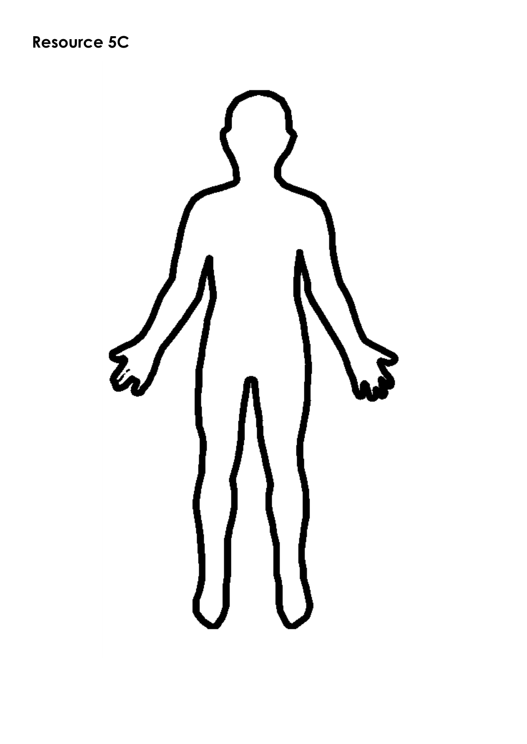## **Resource 5C**

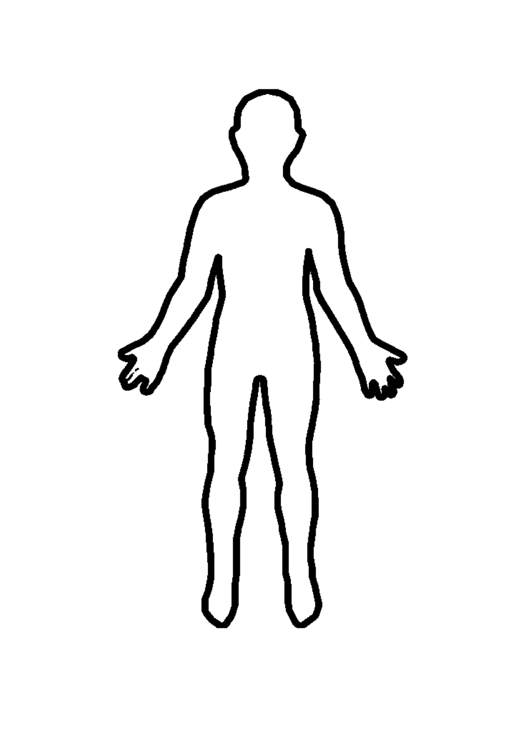